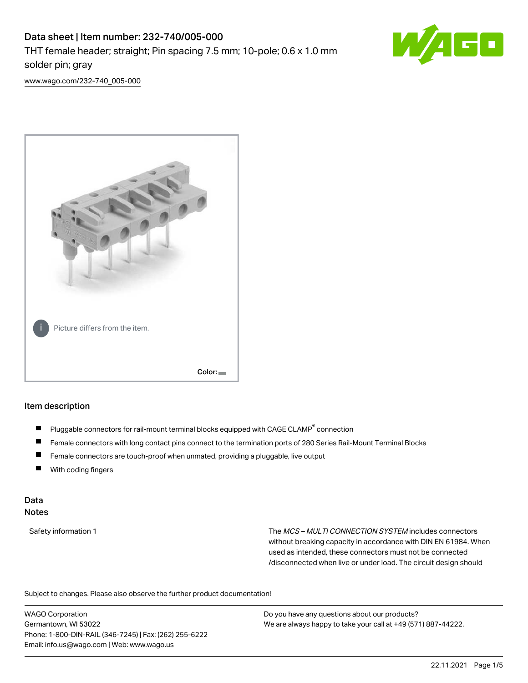# Data sheet | Item number: 232-740/005-000 THT female header; straight; Pin spacing 7.5 mm; 10-pole; 0.6 x 1.0 mm solder pin; gray



[www.wago.com/232-740\\_005-000](http://www.wago.com/232-740_005-000)



#### Item description

- Pluggable connectors for rail-mount terminal blocks equipped with CAGE CLAMP<sup>®</sup> connection П
- П Female connectors with long contact pins connect to the termination ports of 280 Series Rail-Mount Terminal Blocks
- $\blacksquare$ Female connectors are touch-proof when unmated, providing a pluggable, live output
- $\blacksquare$ With coding fingers

#### Data Notes

Safety information 1 The MCS – MULTI CONNECTION SYSTEM includes connectors without breaking capacity in accordance with DIN EN 61984. When used as intended, these connectors must not be connected /disconnected when live or under load. The circuit design should

Subject to changes. Please also observe the further product documentation!  $\mathbf{e}$ 

WAGO Corporation Germantown, WI 53022 Phone: 1-800-DIN-RAIL (346-7245) | Fax: (262) 255-6222 Email: info.us@wago.com | Web: www.wago.us

Do you have any questions about our products? We are always happy to take your call at +49 (571) 887-44222.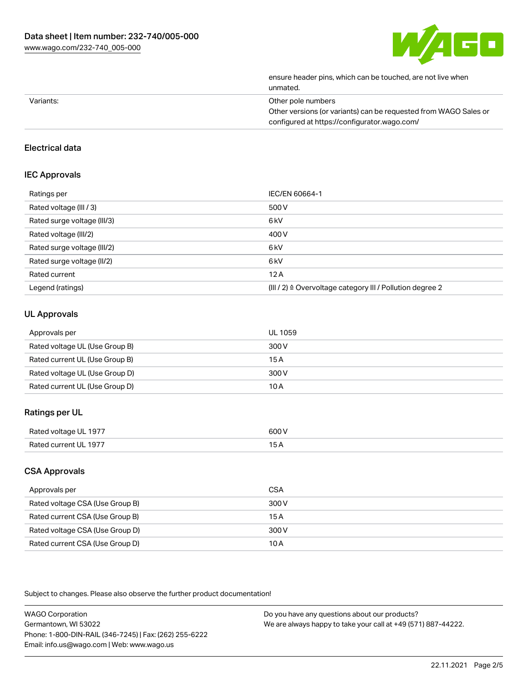

| ensure header pins, which can be touched, are not live when<br>unmated. |
|-------------------------------------------------------------------------|
| Other pole numbers                                                      |
| Other versions (or variants) can be requested from WAGO Sales or        |
| configured at https://configurator.wago.com/                            |
|                                                                         |

## Electrical data

## IEC Approvals

| Ratings per                 | IEC/EN 60664-1                                            |
|-----------------------------|-----------------------------------------------------------|
| Rated voltage (III / 3)     | 500 V                                                     |
| Rated surge voltage (III/3) | 6 <sub>kV</sub>                                           |
| Rated voltage (III/2)       | 400 V                                                     |
| Rated surge voltage (III/2) | 6 <sub>kV</sub>                                           |
| Rated surge voltage (II/2)  | 6 <sub>kV</sub>                                           |
| Rated current               | 12A                                                       |
| Legend (ratings)            | (III / 2) ≙ Overvoltage category III / Pollution degree 2 |

# UL Approvals

| Approvals per                  | UL 1059 |
|--------------------------------|---------|
| Rated voltage UL (Use Group B) | 300 V   |
| Rated current UL (Use Group B) | 15 A    |
| Rated voltage UL (Use Group D) | 300 V   |
| Rated current UL (Use Group D) | 10 A    |

## Ratings per UL

| Rated vol†r<br>1977<br>ີ | 600 V<br>.  |
|--------------------------|-------------|
| ור ס<br>10 7 J           | . –<br>____ |

## CSA Approvals

| Approvals per                   | CSA   |
|---------------------------------|-------|
| Rated voltage CSA (Use Group B) | 300 V |
| Rated current CSA (Use Group B) | 15 A  |
| Rated voltage CSA (Use Group D) | 300 V |
| Rated current CSA (Use Group D) | 10 A  |

Subject to changes. Please also observe the further product documentation!

| <b>WAGO Corporation</b>                                | Do you have any questions about our products?                 |
|--------------------------------------------------------|---------------------------------------------------------------|
| Germantown, WI 53022                                   | We are always happy to take your call at +49 (571) 887-44222. |
| Phone: 1-800-DIN-RAIL (346-7245)   Fax: (262) 255-6222 |                                                               |
| Email: info.us@wago.com   Web: www.wago.us             |                                                               |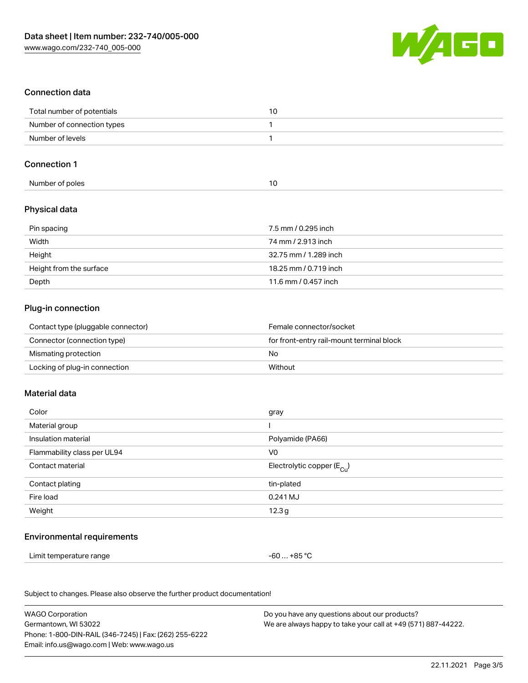

## Connection data

| Total number of potentials | Ш |
|----------------------------|---|
| Number of connection types |   |
| Number of levels           |   |

#### Connection 1

| Number of poles |  |
|-----------------|--|

## Physical data

| Pin spacing             | 7.5 mm / 0.295 inch   |
|-------------------------|-----------------------|
| Width                   | 74 mm / 2.913 inch    |
| Height                  | 32.75 mm / 1.289 inch |
| Height from the surface | 18.25 mm / 0.719 inch |
| Depth                   | 11.6 mm / 0.457 inch  |

## Plug-in connection

| Contact type (pluggable connector) | Female connector/socket                   |
|------------------------------------|-------------------------------------------|
| Connector (connection type)        | for front-entry rail-mount terminal block |
| Mismating protection               | No.                                       |
| Locking of plug-in connection      | Without                                   |

#### Material data

| Color                       | gray                                  |
|-----------------------------|---------------------------------------|
| Material group              |                                       |
| Insulation material         | Polyamide (PA66)                      |
| Flammability class per UL94 | V <sub>0</sub>                        |
| Contact material            | Electrolytic copper $(E_{\text{Cl}})$ |
| Contact plating             | tin-plated                            |
| Fire load                   | 0.241 MJ                              |
| Weight                      | 12.3g                                 |
|                             |                                       |

#### Environmental requirements

Limit temperature range  $-60... +85$  °C

Subject to changes. Please also observe the further product documentation!

| <b>WAGO Corporation</b>                                | Do you have any questions about our products?                 |
|--------------------------------------------------------|---------------------------------------------------------------|
| Germantown, WI 53022                                   | We are always happy to take your call at +49 (571) 887-44222. |
| Phone: 1-800-DIN-RAIL (346-7245)   Fax: (262) 255-6222 |                                                               |
| Email: info.us@wago.com   Web: www.wago.us             |                                                               |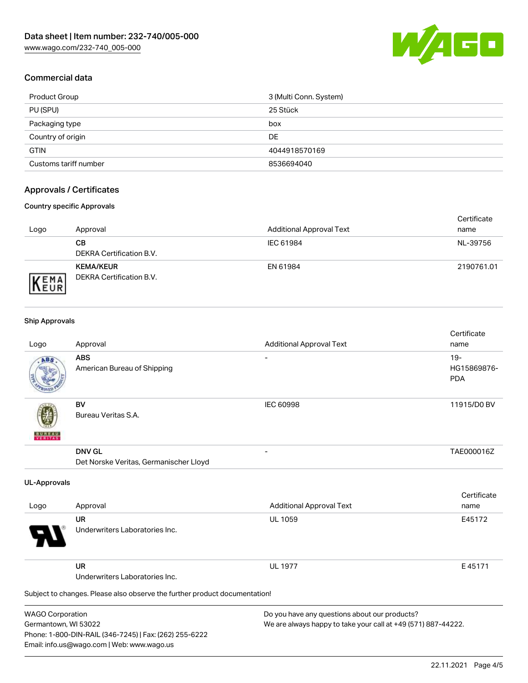

## Commercial data

| Product Group         | 3 (Multi Conn. System) |
|-----------------------|------------------------|
| PU (SPU)              | 25 Stück               |
| Packaging type        | box                    |
| Country of origin     | DE                     |
| <b>GTIN</b>           | 4044918570169          |
| Customs tariff number | 8536694040             |

## Approvals / Certificates

#### Country specific Approvals

| Logo                | Approval                                            | <b>Additional Approval Text</b> | Certificate<br>name |
|---------------------|-----------------------------------------------------|---------------------------------|---------------------|
|                     | CВ<br>DEKRA Certification B.V.                      | IEC 61984                       | NL-39756            |
| 'EMA<br><b>NEUR</b> | <b>KEMA/KEUR</b><br><b>DEKRA Certification B.V.</b> | EN 61984                        | 2190761.01          |

#### Ship Approvals

Email: info.us@wago.com | Web: www.wago.us

| Logo                    | Approval                                                                   | <b>Additional Approval Text</b>                               | Certificate<br>name |
|-------------------------|----------------------------------------------------------------------------|---------------------------------------------------------------|---------------------|
| ABS                     | <b>ABS</b>                                                                 |                                                               | $19 -$              |
|                         | American Bureau of Shipping                                                |                                                               | HG15869876-         |
|                         |                                                                            |                                                               | <b>PDA</b>          |
|                         | <b>BV</b>                                                                  | <b>IEC 60998</b>                                              | 11915/D0 BV         |
|                         | Bureau Veritas S.A.                                                        |                                                               |                     |
|                         |                                                                            |                                                               |                     |
|                         | <b>DNV GL</b>                                                              |                                                               | TAE000016Z          |
|                         | Det Norske Veritas, Germanischer Lloyd                                     |                                                               |                     |
| <b>UL-Approvals</b>     |                                                                            |                                                               |                     |
|                         |                                                                            |                                                               | Certificate         |
| Logo                    | Approval                                                                   | <b>Additional Approval Text</b>                               | name                |
|                         | <b>UR</b>                                                                  | <b>UL 1059</b>                                                | E45172              |
|                         | Underwriters Laboratories Inc.                                             |                                                               |                     |
|                         | <b>UR</b>                                                                  | <b>UL 1977</b>                                                | E45171              |
|                         | Underwriters Laboratories Inc.                                             |                                                               |                     |
|                         | Subject to changes. Please also observe the further product documentation! |                                                               |                     |
| <b>WAGO Corporation</b> |                                                                            | Do you have any questions about our products?                 |                     |
| Germantown, WI 53022    |                                                                            | We are always happy to take your call at +49 (571) 887-44222. |                     |
|                         | Phone: 1-800-DIN-RAIL (346-7245)   Fax: (262) 255-6222                     |                                                               |                     |